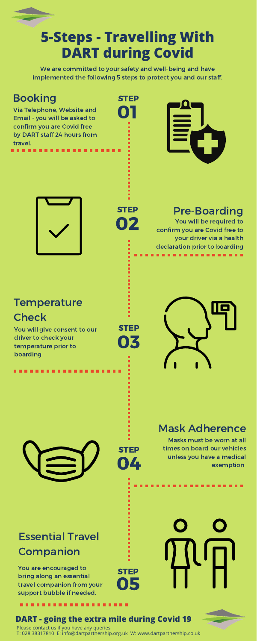# **5-Steps - Travelling With DART during Covid**

We are committed to your safety and well-being and have implemented the following 5 steps to protect you and our staff.

> 02 **STEP**

## Booking

. . . . .

## Pre-Boarding

03

**STEP** 

01

04

**STEP** 

05

You will be required to confirm you are Covid free to your driver via a health declaration prior to boarding . . . . .

## **Temperature Check**

## Essential Travel Companion

Via Telephone, Website and Email - you will be asked to confirm you are Covid free by DART staff 24 hours from travel.





You will give consent to our driver to check your temperature prior to boarding



Masks must be worn at all times on board our vehicles unless you have a medical exemption

You are encouraged to bring along an essential travel companion from your support bubble if needed.

.........

## Mask Adherence

STEP

STEP

# **DART - going the extra mile during Covid 19**

Please contact us if you have any queries T: 028 38317810 E: info@dartpartnership.org.uk W: www.dartpartnership.co.uk